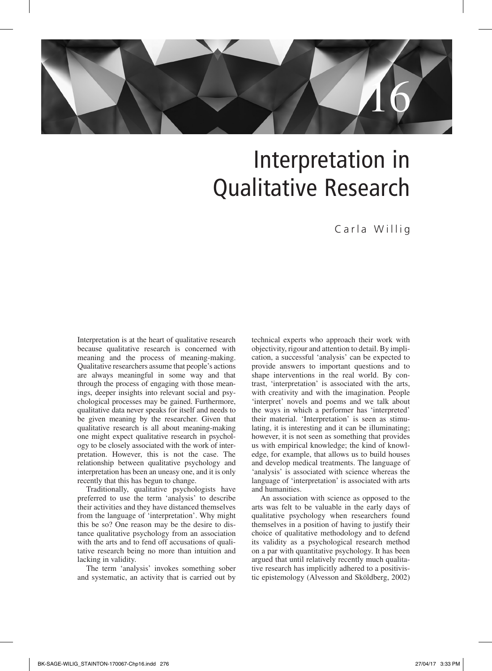

# Interpretation in Qualitative Research

# Carla Willig

Interpretation is at the heart of qualitative research because qualitative research is concerned with meaning and the process of meaning-making. Qualitative researchers assume that people's actions are always meaningful in some way and that through the process of engaging with those meanings, deeper insights into relevant social and psychological processes may be gained. Furthermore, qualitative data never speaks for itself and needs to be given meaning by the researcher. Given that qualitative research is all about meaning-making one might expect qualitative research in psychology to be closely associated with the work of interpretation. However, this is not the case. The relationship between qualitative psychology and interpretation has been an uneasy one, and it is only recently that this has begun to change.

Traditionally, qualitative psychologists have preferred to use the term 'analysis' to describe their activities and they have distanced themselves from the language of 'interpretation'. Why might this be so? One reason may be the desire to distance qualitative psychology from an association with the arts and to fend off accusations of qualitative research being no more than intuition and lacking in validity.

The term 'analysis' invokes something sober and systematic, an activity that is carried out by

technical experts who approach their work with objectivity, rigour and attention to detail. By implication, a successful 'analysis' can be expected to provide answers to important questions and to shape interventions in the real world. By contrast, 'interpretation' is associated with the arts, with creativity and with the imagination. People 'interpret' novels and poems and we talk about the ways in which a performer has 'interpreted' their material. 'Interpretation' is seen as stimulating, it is interesting and it can be illuminating; however, it is not seen as something that provides us with empirical knowledge; the kind of knowledge, for example, that allows us to build houses and develop medical treatments. The language of 'analysis' is associated with science whereas the language of 'interpretation' is associated with arts and humanities.

An association with science as opposed to the arts was felt to be valuable in the early days of qualitative psychology when researchers found themselves in a position of having to justify their choice of qualitative methodology and to defend its validity as a psychological research method on a par with quantitative psychology. It has been argued that until relatively recently much qualitative research has implicitly adhered to a positivistic epistemology (Alvesson and Sköldberg, 2002)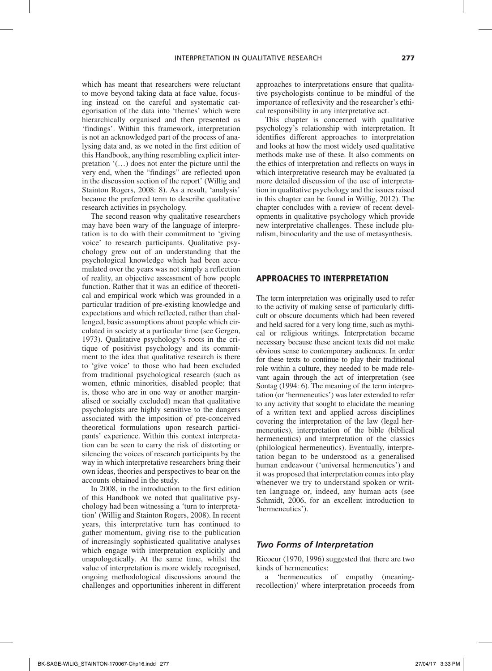which has meant that researchers were reluctant to move beyond taking data at face value, focusing instead on the careful and systematic categorisation of the data into 'themes' which were hierarchically organised and then presented as 'findings'. Within this framework, interpretation is not an acknowledged part of the process of analysing data and, as we noted in the first edition of this Handbook, anything resembling explicit interpretation '(…) does not enter the picture until the very end, when the "findings" are reflected upon in the discussion section of the report' (Willig and Stainton Rogers, 2008: 8). As a result, 'analysis' became the preferred term to describe qualitative research activities in psychology.

The second reason why qualitative researchers may have been wary of the language of interpretation is to do with their commitment to 'giving voice' to research participants. Qualitative psychology grew out of an understanding that the psychological knowledge which had been accumulated over the years was not simply a reflection of reality, an objective assessment of how people function. Rather that it was an edifice of theoretical and empirical work which was grounded in a particular tradition of pre-existing knowledge and expectations and which reflected, rather than challenged, basic assumptions about people which circulated in society at a particular time (see Gergen, 1973). Qualitative psychology's roots in the critique of positivist psychology and its commitment to the idea that qualitative research is there to 'give voice' to those who had been excluded from traditional psychological research (such as women, ethnic minorities, disabled people; that is, those who are in one way or another marginalised or socially excluded) mean that qualitative psychologists are highly sensitive to the dangers associated with the imposition of pre-conceived theoretical formulations upon research participants' experience. Within this context interpretation can be seen to carry the risk of distorting or silencing the voices of research participants by the way in which interpretative researchers bring their own ideas, theories and perspectives to bear on the accounts obtained in the study.

In 2008, in the introduction to the first edition of this Handbook we noted that qualitative psychology had been witnessing a 'turn to interpretation' (Willig and Stainton Rogers, 2008). In recent years, this interpretative turn has continued to gather momentum, giving rise to the publication of increasingly sophisticated qualitative analyses which engage with interpretation explicitly and unapologetically. At the same time, whilst the value of interpretation is more widely recognised, ongoing methodological discussions around the challenges and opportunities inherent in different approaches to interpretations ensure that qualitative psychologists continue to be mindful of the importance of reflexivity and the researcher's ethical responsibility in any interpretative act.

This chapter is concerned with qualitative psychology's relationship with interpretation. It identifies different approaches to interpretation and looks at how the most widely used qualitative methods make use of these. It also comments on the ethics of interpretation and reflects on ways in which interpretative research may be evaluated (a more detailed discussion of the use of interpretation in qualitative psychology and the issues raised in this chapter can be found in Willig, 2012). The chapter concludes with a review of recent developments in qualitative psychology which provide new interpretative challenges. These include pluralism, binocularity and the use of metasynthesis.

# Approaches to interpretation

The term interpretation was originally used to refer to the activity of making sense of particularly difficult or obscure documents which had been revered and held sacred for a very long time, such as mythical or religious writings. Interpretation became necessary because these ancient texts did not make obvious sense to contemporary audiences. In order for these texts to continue to play their traditional role within a culture, they needed to be made relevant again through the act of interpretation (see Sontag (1994: 6). The meaning of the term interpretation (or 'hermeneutics') was later extended to refer to any activity that sought to elucidate the meaning of a written text and applied across disciplines covering the interpretation of the law (legal hermeneutics), interpretation of the bible (biblical hermeneutics) and interpretation of the classics (philological hermeneutics). Eventually, interpretation began to be understood as a generalised human endeavour ('universal hermeneutics') and it was proposed that interpretation comes into play whenever we try to understand spoken or written language or, indeed, any human acts (see Schmidt, 2006, for an excellent introduction to 'hermeneutics').

#### *Two Forms of Interpretation*

Ricoeur (1970, 1996) suggested that there are two kinds of hermeneutics:

a 'hermeneutics of empathy (meaningrecollection)' where interpretation proceeds from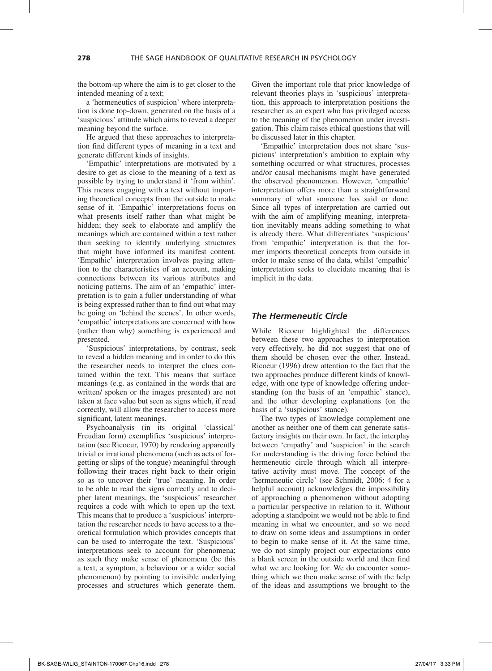the bottom-up where the aim is to get closer to the intended meaning of a text;

a 'hermeneutics of suspicion' where interpretation is done top-down, generated on the basis of a 'suspicious' attitude which aims to reveal a deeper meaning beyond the surface.

He argued that these approaches to interpretation find different types of meaning in a text and generate different kinds of insights.

'Empathic' interpretations are motivated by a desire to get as close to the meaning of a text as possible by trying to understand it 'from within'. This means engaging with a text without importing theoretical concepts from the outside to make sense of it. 'Empathic' interpretations focus on what presents itself rather than what might be hidden; they seek to elaborate and amplify the meanings which are contained within a text rather than seeking to identify underlying structures that might have informed its manifest content. 'Empathic' interpretation involves paying attention to the characteristics of an account, making connections between its various attributes and noticing patterns. The aim of an 'empathic' interpretation is to gain a fuller understanding of what is being expressed rather than to find out what may be going on 'behind the scenes'. In other words, 'empathic' interpretations are concerned with how (rather than why) something is experienced and presented.

'Suspicious' interpretations, by contrast, seek to reveal a hidden meaning and in order to do this the researcher needs to interpret the clues contained within the text. This means that surface meanings (e.g. as contained in the words that are written/ spoken or the images presented) are not taken at face value but seen as signs which, if read correctly, will allow the researcher to access more significant, latent meanings.

Psychoanalysis (in its original 'classical' Freudian form) exemplifies 'suspicious' interpretation (see Ricoeur, 1970) by rendering apparently trivial or irrational phenomena (such as acts of forgetting or slips of the tongue) meaningful through following their traces right back to their origin so as to uncover their 'true' meaning. In order to be able to read the signs correctly and to decipher latent meanings, the 'suspicious' researcher requires a code with which to open up the text. This means that to produce a 'suspicious' interpretation the researcher needs to have access to a theoretical formulation which provides concepts that can be used to interrogate the text. 'Suspicious' interpretations seek to account for phenomena; as such they make sense of phenomena (be this a text, a symptom, a behaviour or a wider social phenomenon) by pointing to invisible underlying processes and structures which generate them.

Given the important role that prior knowledge of relevant theories plays in 'suspicious' interpretation, this approach to interpretation positions the researcher as an expert who has privileged access to the meaning of the phenomenon under investigation. This claim raises ethical questions that will be discussed later in this chapter.

'Empathic' interpretation does not share 'suspicious' interpretation's ambition to explain why something occurred or what structures, processes and/or causal mechanisms might have generated the observed phenomenon. However, 'empathic' interpretation offers more than a straightforward summary of what someone has said or done. Since all types of interpretation are carried out with the aim of amplifying meaning, interpretation inevitably means adding something to what is already there. What differentiates 'suspicious' from 'empathic' interpretation is that the former imports theoretical concepts from outside in order to make sense of the data, whilst 'empathic' interpretation seeks to elucidate meaning that is implicit in the data.

#### *The Hermeneutic Circle*

While Ricoeur highlighted the differences between these two approaches to interpretation very effectively, he did not suggest that one of them should be chosen over the other. Instead, Ricoeur (1996) drew attention to the fact that the two approaches produce different kinds of knowledge, with one type of knowledge offering understanding (on the basis of an 'empathic' stance), and the other developing explanations (on the basis of a 'suspicious' stance).

The two types of knowledge complement one another as neither one of them can generate satisfactory insights on their own. In fact, the interplay between 'empathy' and 'suspicion' in the search for understanding is the driving force behind the hermeneutic circle through which all interpretative activity must move. The concept of the 'hermeneutic circle' (see Schmidt, 2006: 4 for a helpful account) acknowledges the impossibility of approaching a phenomenon without adopting a particular perspective in relation to it. Without adopting a standpoint we would not be able to find meaning in what we encounter, and so we need to draw on some ideas and assumptions in order to begin to make sense of it. At the same time, we do not simply project our expectations onto a blank screen in the outside world and then find what we are looking for. We do encounter something which we then make sense of with the help of the ideas and assumptions we brought to the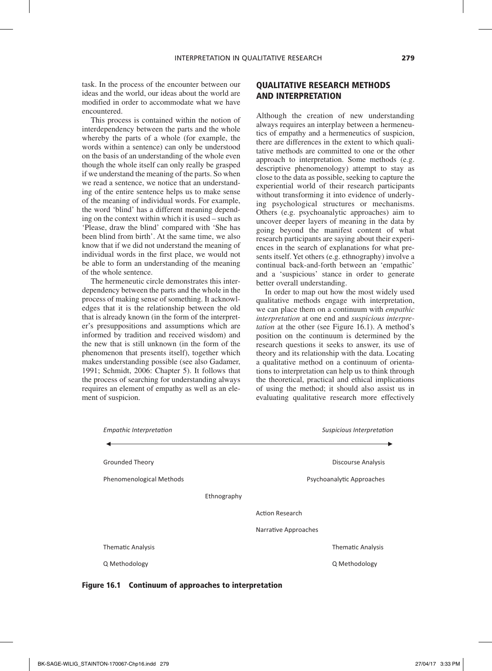task. In the process of the encounter between our ideas and the world, our ideas about the world are modified in order to accommodate what we have encountered.

This process is contained within the notion of interdependency between the parts and the whole whereby the parts of a whole (for example, the words within a sentence) can only be understood on the basis of an understanding of the whole even though the whole itself can only really be grasped if we understand the meaning of the parts. So when we read a sentence, we notice that an understanding of the entire sentence helps us to make sense of the meaning of individual words. For example, the word 'blind' has a different meaning depending on the context within which it is used – such as 'Please, draw the blind' compared with 'She has been blind from birth'. At the same time, we also know that if we did not understand the meaning of individual words in the first place, we would not be able to form an understanding of the meaning of the whole sentence.

The hermeneutic circle demonstrates this interdependency between the parts and the whole in the process of making sense of something. It acknowledges that it is the relationship between the old that is already known (in the form of the interpreter's presuppositions and assumptions which are informed by tradition and received wisdom) and the new that is still unknown (in the form of the phenomenon that presents itself), together which makes understanding possible (see also Gadamer, 1991; Schmidt, 2006: Chapter 5). It follows that the process of searching for understanding always requires an element of empathy as well as an element of suspicion.

# Qualitative Research Methods and Interpretation

Although the creation of new understanding always requires an interplay between a hermeneutics of empathy and a hermeneutics of suspicion, there are differences in the extent to which qualitative methods are committed to one or the other approach to interpretation. Some methods (e.g. descriptive phenomenology) attempt to stay as close to the data as possible, seeking to capture the experiential world of their research participants without transforming it into evidence of underlying psychological structures or mechanisms. Others (e.g. psychoanalytic approaches) aim to uncover deeper layers of meaning in the data by going beyond the manifest content of what research participants are saying about their experiences in the search of explanations for what presents itself. Yet others (e.g. ethnography) involve a continual back-and-forth between an 'empathic' and a 'suspicious' stance in order to generate better overall understanding.

In order to map out how the most widely used qualitative methods engage with interpretation, we can place them on a continuum with *empathic interpretation* at one end and *suspicious interpretation* at the other (see Figure 16.1). A method's position on the continuum is determined by the research questions it seeks to answer, its use of theory and its relationship with the data. Locating a qualitative method on a continuum of orientations to interpretation can help us to think through the theoretical, practical and ethical implications of using the method; it should also assist us in evaluating qualitative research more effectively



Figure 16.1 Continuum of approaches to interpretation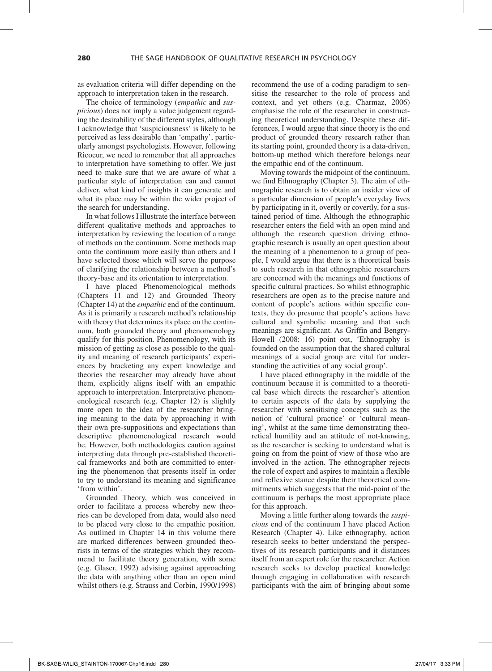as evaluation criteria will differ depending on the approach to interpretation taken in the research.

The choice of terminology (*empathic* and *suspicious*) does not imply a value judgement regarding the desirability of the different styles, although I acknowledge that 'suspiciousness' is likely to be perceived as less desirable than 'empathy', particularly amongst psychologists. However, following Ricoeur, we need to remember that all approaches to interpretation have something to offer. We just need to make sure that we are aware of what a particular style of interpretation can and cannot deliver, what kind of insights it can generate and what its place may be within the wider project of the search for understanding.

In what follows I illustrate the interface between different qualitative methods and approaches to interpretation by reviewing the location of a range of methods on the continuum. Some methods map onto the continuum more easily than others and I have selected those which will serve the purpose of clarifying the relationship between a method's theory-base and its orientation to interpretation.

I have placed Phenomenological methods (Chapters 11 and 12) and Grounded Theory (Chapter 14) at the *empathic* end of the continuum. As it is primarily a research method's relationship with theory that determines its place on the continuum, both grounded theory and phenomenology qualify for this position. Phenomenology, with its mission of getting as close as possible to the quality and meaning of research participants' experiences by bracketing any expert knowledge and theories the researcher may already have about them, explicitly aligns itself with an empathic approach to interpretation. Interpretative phenomenological research (e.g. Chapter 12) is slightly more open to the idea of the researcher bringing meaning to the data by approaching it with their own pre-suppositions and expectations than descriptive phenomenological research would be. However, both methodologies caution against interpreting data through pre-established theoretical frameworks and both are committed to entering the phenomenon that presents itself in order to try to understand its meaning and significance 'from within'.

Grounded Theory, which was conceived in order to facilitate a process whereby new theories can be developed from data, would also need to be placed very close to the empathic position. As outlined in Chapter 14 in this volume there are marked differences between grounded theorists in terms of the strategies which they recommend to facilitate theory generation, with some (e.g. Glaser, 1992) advising against approaching the data with anything other than an open mind whilst others (e.g. Strauss and Corbin, 1990/1998)

recommend the use of a coding paradigm to sensitise the researcher to the role of process and context, and yet others (e.g. Charmaz, 2006) emphasise the role of the researcher in constructing theoretical understanding. Despite these differences, I would argue that since theory is the end product of grounded theory research rather than its starting point, grounded theory is a data-driven, bottom-up method which therefore belongs near the empathic end of the continuum.

Moving towards the midpoint of the continuum, we find Ethnography (Chapter 3). The aim of ethnographic research is to obtain an insider view of a particular dimension of people's everyday lives by participating in it, overtly or covertly, for a sustained period of time. Although the ethnographic researcher enters the field with an open mind and although the research question driving ethnographic research is usually an open question about the meaning of a phenomenon to a group of people, I would argue that there is a theoretical basis to such research in that ethnographic researchers are concerned with the meanings and functions of specific cultural practices. So whilst ethnographic researchers are open as to the precise nature and content of people's actions within specific contexts, they do presume that people's actions have cultural and symbolic meaning and that such meanings are significant. As Griffin and Bengry-Howell (2008: 16) point out, 'Ethnography is founded on the assumption that the shared cultural meanings of a social group are vital for understanding the activities of any social group'.

I have placed ethnography in the middle of the continuum because it is committed to a theoretical base which directs the researcher's attention to certain aspects of the data by supplying the researcher with sensitising concepts such as the notion of 'cultural practice' or 'cultural meaning', whilst at the same time demonstrating theoretical humility and an attitude of not-knowing, as the researcher is seeking to understand what is going on from the point of view of those who are involved in the action. The ethnographer rejects the role of expert and aspires to maintain a flexible and reflexive stance despite their theoretical commitments which suggests that the mid-point of the continuum is perhaps the most appropriate place for this approach.

Moving a little further along towards the *suspicious* end of the continuum I have placed Action Research (Chapter 4). Like ethnography, action research seeks to better understand the perspectives of its research participants and it distances itself from an expert role for the researcher. Action research seeks to develop practical knowledge through engaging in collaboration with research participants with the aim of bringing about some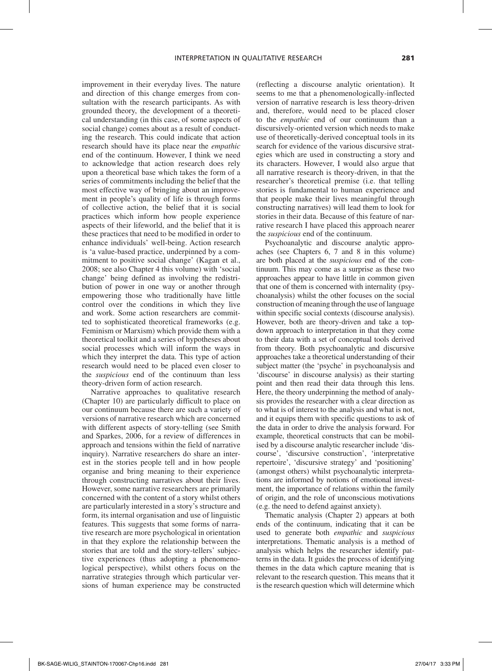improvement in their everyday lives. The nature and direction of this change emerges from consultation with the research participants. As with grounded theory, the development of a theoretical understanding (in this case, of some aspects of social change) comes about as a result of conducting the research. This could indicate that action research should have its place near the *empathic* end of the continuum. However, I think we need to acknowledge that action research does rely upon a theoretical base which takes the form of a series of commitments including the belief that the most effective way of bringing about an improvement in people's quality of life is through forms of collective action, the belief that it is social practices which inform how people experience aspects of their lifeworld, and the belief that it is these practices that need to be modified in order to enhance individuals' well-being. Action research is 'a value-based practice, underpinned by a commitment to positive social change' (Kagan et al., 2008; see also Chapter 4 this volume) with 'social change' being defined as involving the redistribution of power in one way or another through empowering those who traditionally have little control over the conditions in which they live and work. Some action researchers are committed to sophisticated theoretical frameworks (e.g. Feminism or Marxism) which provide them with a theoretical toolkit and a series of hypotheses about social processes which will inform the ways in which they interpret the data. This type of action research would need to be placed even closer to the *suspicious* end of the continuum than less theory-driven form of action research.

Narrative approaches to qualitative research (Chapter 10) are particularly difficult to place on our continuum because there are such a variety of versions of narrative research which are concerned with different aspects of story-telling (see Smith and Sparkes, 2006, for a review of differences in approach and tensions within the field of narrative inquiry). Narrative researchers do share an interest in the stories people tell and in how people organise and bring meaning to their experience through constructing narratives about their lives. However, some narrative researchers are primarily concerned with the content of a story whilst others are particularly interested in a story's structure and form, its internal organisation and use of linguistic features. This suggests that some forms of narrative research are more psychological in orientation in that they explore the relationship between the stories that are told and the story-tellers' subjective experiences (thus adopting a phenomenological perspective), whilst others focus on the narrative strategies through which particular versions of human experience may be constructed (reflecting a discourse analytic orientation). It seems to me that a phenomenologically-inflected version of narrative research is less theory-driven and, therefore, would need to be placed closer to the *empathic* end of our continuum than a discursively-oriented version which needs to make use of theoretically-derived conceptual tools in its search for evidence of the various discursive strategies which are used in constructing a story and its characters. However, I would also argue that all narrative research is theory-driven, in that the researcher's theoretical premise (i.e. that telling stories is fundamental to human experience and that people make their lives meaningful through constructing narratives) will lead them to look for stories in their data. Because of this feature of narrative research I have placed this approach nearer the *suspicious* end of the continuum.

Psychoanalytic and discourse analytic approaches (see Chapters 6, 7 and 8 in this volume) are both placed at the *suspicious* end of the continuum. This may come as a surprise as these two approaches appear to have little in common given that one of them is concerned with internality (psychoanalysis) whilst the other focuses on the social construction of meaning through the use of language within specific social contexts (discourse analysis). However, both are theory-driven and take a topdown approach to interpretation in that they come to their data with a set of conceptual tools derived from theory. Both psychoanalytic and discursive approaches take a theoretical understanding of their subject matter (the 'psyche' in psychoanalysis and 'discourse' in discourse analysis) as their starting point and then read their data through this lens. Here, the theory underpinning the method of analysis provides the researcher with a clear direction as to what is of interest to the analysis and what is not, and it equips them with specific questions to ask of the data in order to drive the analysis forward. For example, theoretical constructs that can be mobilised by a discourse analytic researcher include 'discourse', 'discursive construction', 'interpretative repertoire', 'discursive strategy' and 'positioning' (amongst others) whilst psychoanalytic interpretations are informed by notions of emotional investment, the importance of relations within the family of origin, and the role of unconscious motivations (e.g. the need to defend against anxiety).

Thematic analysis (Chapter 2) appears at both ends of the continuum, indicating that it can be used to generate both *empathic* and *suspicious* interpretations. Thematic analysis is a method of analysis which helps the researcher identify patterns in the data. It guides the process of identifying themes in the data which capture meaning that is relevant to the research question. This means that it is the research question which will determine which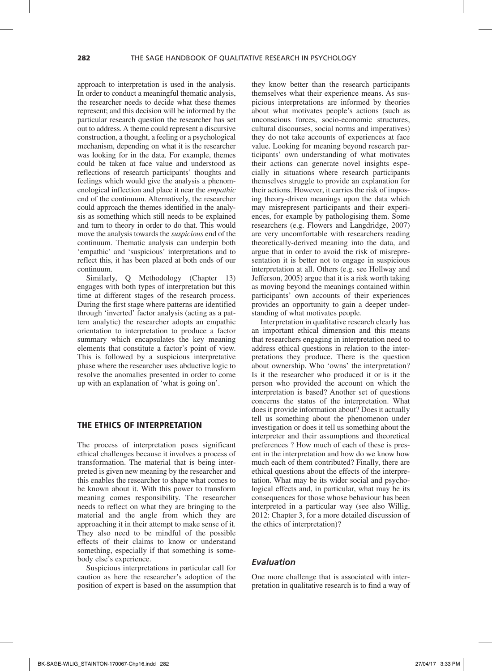approach to interpretation is used in the analysis. In order to conduct a meaningful thematic analysis, the researcher needs to decide what these themes represent; and this decision will be informed by the particular research question the researcher has set out to address. A theme could represent a discursive construction, a thought, a feeling or a psychological mechanism, depending on what it is the researcher was looking for in the data. For example, themes could be taken at face value and understood as reflections of research participants' thoughts and feelings which would give the analysis a phenomenological inflection and place it near the *empathic* end of the continuum. Alternatively, the researcher could approach the themes identified in the analysis as something which still needs to be explained and turn to theory in order to do that. This would move the analysis towards the *suspicious* end of the continuum. Thematic analysis can underpin both 'empathic' and 'suspicious' interpretations and to reflect this, it has been placed at both ends of our continuum.

Similarly, Q Methodology (Chapter 13) engages with both types of interpretation but this time at different stages of the research process. During the first stage where patterns are identified through 'inverted' factor analysis (acting as a pattern analytic) the researcher adopts an empathic orientation to interpretation to produce a factor summary which encapsulates the key meaning elements that constitute a factor's point of view. This is followed by a suspicious interpretative phase where the researcher uses abductive logic to resolve the anomalies presented in order to come up with an explanation of 'what is going on'.

# The Ethics of Interpretation

The process of interpretation poses significant ethical challenges because it involves a process of transformation. The material that is being interpreted is given new meaning by the researcher and this enables the researcher to shape what comes to be known about it. With this power to transform meaning comes responsibility. The researcher needs to reflect on what they are bringing to the material and the angle from which they are approaching it in their attempt to make sense of it. They also need to be mindful of the possible effects of their claims to know or understand something, especially if that something is somebody else's experience.

Suspicious interpretations in particular call for caution as here the researcher's adoption of the position of expert is based on the assumption that

they know better than the research participants themselves what their experience means. As suspicious interpretations are informed by theories about what motivates people's actions (such as unconscious forces, socio-economic structures, cultural discourses, social norms and imperatives) they do not take accounts of experiences at face value. Looking for meaning beyond research participants' own understanding of what motivates their actions can generate novel insights especially in situations where research participants themselves struggle to provide an explanation for their actions. However, it carries the risk of imposing theory-driven meanings upon the data which may misrepresent participants and their experiences, for example by pathologising them. Some researchers (e.g. Flowers and Langdridge, 2007) are very uncomfortable with researchers reading theoretically-derived meaning into the data, and argue that in order to avoid the risk of misrepresentation it is better not to engage in suspicious interpretation at all. Others (e.g. see Hollway and Jefferson, 2005) argue that it is a risk worth taking as moving beyond the meanings contained within participants' own accounts of their experiences provides an opportunity to gain a deeper understanding of what motivates people.

Interpretation in qualitative research clearly has an important ethical dimension and this means that researchers engaging in interpretation need to address ethical questions in relation to the interpretations they produce. There is the question about ownership. Who 'owns' the interpretation? Is it the researcher who produced it or is it the person who provided the account on which the interpretation is based? Another set of questions concerns the status of the interpretation. What does it provide information about? Does it actually tell us something about the phenomenon under investigation or does it tell us something about the interpreter and their assumptions and theoretical preferences ? How much of each of these is present in the interpretation and how do we know how much each of them contributed? Finally, there are ethical questions about the effects of the interpretation. What may be its wider social and psychological effects and, in particular, what may be its consequences for those whose behaviour has been interpreted in a particular way (see also Willig, 2012: Chapter 3, for a more detailed discussion of the ethics of interpretation)?

#### *Evaluation*

One more challenge that is associated with interpretation in qualitative research is to find a way of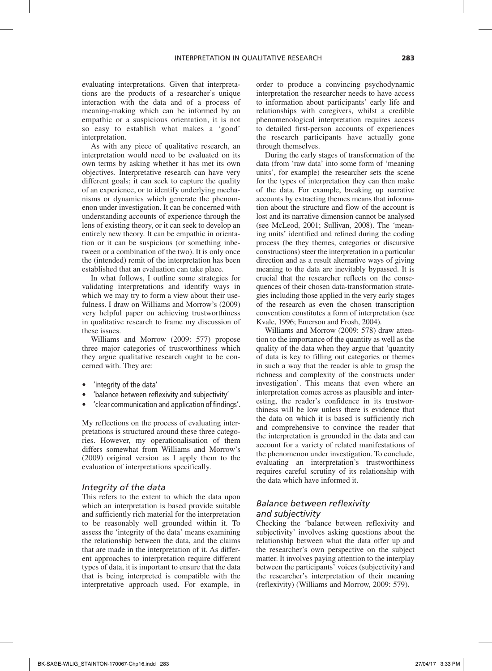evaluating interpretations. Given that interpretations are the products of a researcher's unique interaction with the data and of a process of meaning-making which can be informed by an empathic or a suspicious orientation, it is not so easy to establish what makes a 'good' interpretation.

As with any piece of qualitative research, an interpretation would need to be evaluated on its own terms by asking whether it has met its own objectives. Interpretative research can have very different goals; it can seek to capture the quality of an experience, or to identify underlying mechanisms or dynamics which generate the phenomenon under investigation. It can be concerned with understanding accounts of experience through the lens of existing theory, or it can seek to develop an entirely new theory. It can be empathic in orientation or it can be suspicious (or something inbetween or a combination of the two). It is only once the (intended) remit of the interpretation has been established that an evaluation can take place.

In what follows, I outline some strategies for validating interpretations and identify ways in which we may try to form a view about their usefulness. I draw on Williams and Morrow's (2009) very helpful paper on achieving trustworthiness in qualitative research to frame my discussion of these issues.

Williams and Morrow (2009: 577) propose three major categories of trustworthiness which they argue qualitative research ought to be concerned with. They are:

- 'integrity of the data'
- 'balance between reflexivity and subjectivity'
- 'clear communication and application of findings'.

My reflections on the process of evaluating interpretations is structured around these three categories. However, my operationalisation of them differs somewhat from Williams and Morrow's (2009) original version as I apply them to the evaluation of interpretations specifically.

#### *Integrity of the data*

This refers to the extent to which the data upon which an interpretation is based provide suitable and sufficiently rich material for the interpretation to be reasonably well grounded within it. To assess the 'integrity of the data' means examining the relationship between the data, and the claims that are made in the interpretation of it. As different approaches to interpretation require different types of data, it is important to ensure that the data that is being interpreted is compatible with the interpretative approach used. For example, in order to produce a convincing psychodynamic interpretation the researcher needs to have access to information about participants' early life and relationships with caregivers, whilst a credible phenomenological interpretation requires access to detailed first-person accounts of experiences the research participants have actually gone through themselves.

During the early stages of transformation of the data (from 'raw data' into some form of 'meaning units', for example) the researcher sets the scene for the types of interpretation they can then make of the data. For example, breaking up narrative accounts by extracting themes means that information about the structure and flow of the account is lost and its narrative dimension cannot be analysed (see McLeod, 2001; Sullivan, 2008). The 'meaning units' identified and refined during the coding process (be they themes, categories or discursive constructions) steer the interpretation in a particular direction and as a result alternative ways of giving meaning to the data are inevitably bypassed. It is crucial that the researcher reflects on the consequences of their chosen data-transformation strategies including those applied in the very early stages of the research as even the chosen transcription convention constitutes a form of interpretation (see Kvale, 1996; Emerson and Frosh, 2004).

Williams and Morrow (2009: 578) draw attention to the importance of the quantity as well as the quality of the data when they argue that 'quantity of data is key to filling out categories or themes in such a way that the reader is able to grasp the richness and complexity of the constructs under investigation'. This means that even where an interpretation comes across as plausible and interesting, the reader's confidence in its trustworthiness will be low unless there is evidence that the data on which it is based is sufficiently rich and comprehensive to convince the reader that the interpretation is grounded in the data and can account for a variety of related manifestations of the phenomenon under investigation. To conclude, evaluating an interpretation's trustworthiness requires careful scrutiny of its relationship with the data which have informed it.

# *Balance between reflexivity and subjectivity*

Checking the 'balance between reflexivity and subjectivity' involves asking questions about the relationship between what the data offer up and the researcher's own perspective on the subject matter. It involves paying attention to the interplay between the participants' voices (subjectivity) and the researcher's interpretation of their meaning (reflexivity) (Williams and Morrow, 2009: 579).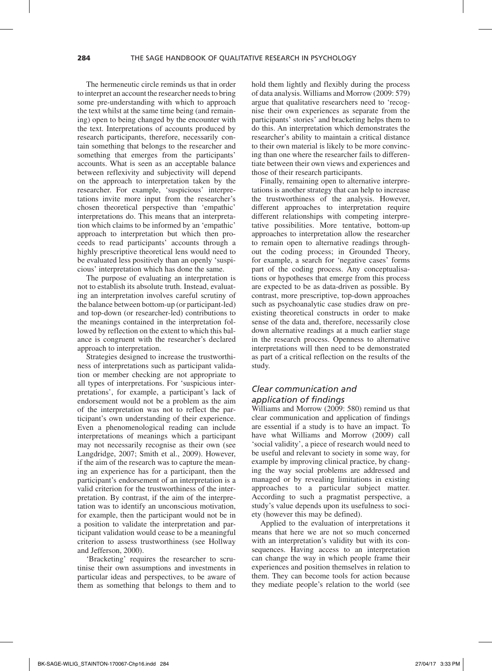The hermeneutic circle reminds us that in order to interpret an account the researcher needs to bring some pre-understanding with which to approach the text whilst at the same time being (and remaining) open to being changed by the encounter with the text. Interpretations of accounts produced by research participants, therefore, necessarily contain something that belongs to the researcher and something that emerges from the participants' accounts. What is seen as an acceptable balance between reflexivity and subjectivity will depend on the approach to interpretation taken by the researcher. For example, 'suspicious' interpretations invite more input from the researcher's chosen theoretical perspective than 'empathic' interpretations do. This means that an interpretation which claims to be informed by an 'empathic' approach to interpretation but which then proceeds to read participants' accounts through a highly prescriptive theoretical lens would need to be evaluated less positively than an openly 'suspicious' interpretation which has done the same.

The purpose of evaluating an interpretation is not to establish its absolute truth. Instead, evaluating an interpretation involves careful scrutiny of the balance between bottom-up (or participant-led) and top-down (or researcher-led) contributions to the meanings contained in the interpretation followed by reflection on the extent to which this balance is congruent with the researcher's declared approach to interpretation.

Strategies designed to increase the trustworthiness of interpretations such as participant validation or member checking are not appropriate to all types of interpretations. For 'suspicious interpretations', for example, a participant's lack of endorsement would not be a problem as the aim of the interpretation was not to reflect the participant's own understanding of their experience. Even a phenomenological reading can include interpretations of meanings which a participant may not necessarily recognise as their own (see Langdridge, 2007; Smith et al., 2009). However, if the aim of the research was to capture the meaning an experience has for a participant, then the participant's endorsement of an interpretation is a valid criterion for the trustworthiness of the interpretation. By contrast, if the aim of the interpretation was to identify an unconscious motivation, for example, then the participant would not be in a position to validate the interpretation and participant validation would cease to be a meaningful criterion to assess trustworthiness (see Hollway and Jefferson, 2000).

'Bracketing' requires the researcher to scrutinise their own assumptions and investments in particular ideas and perspectives, to be aware of them as something that belongs to them and to

hold them lightly and flexibly during the process of data analysis. Williams and Morrow (2009: 579) argue that qualitative researchers need to 'recognise their own experiences as separate from the participants' stories' and bracketing helps them to do this. An interpretation which demonstrates the researcher's ability to maintain a critical distance to their own material is likely to be more convincing than one where the researcher fails to differentiate between their own views and experiences and those of their research participants.

Finally, remaining open to alternative interpretations is another strategy that can help to increase the trustworthiness of the analysis. However, different approaches to interpretation require different relationships with competing interpretative possibilities. More tentative, bottom-up approaches to interpretation allow the researcher to remain open to alternative readings throughout the coding process; in Grounded Theory, for example, a search for 'negative cases' forms part of the coding process. Any conceptualisations or hypotheses that emerge from this process are expected to be as data-driven as possible. By contrast, more prescriptive, top-down approaches such as psychoanalytic case studies draw on preexisting theoretical constructs in order to make sense of the data and, therefore, necessarily close down alternative readings at a much earlier stage in the research process. Openness to alternative interpretations will then need to be demonstrated as part of a critical reflection on the results of the study.

# *Clear communication and application of findings*

Williams and Morrow (2009: 580) remind us that clear communication and application of findings are essential if a study is to have an impact. To have what Williams and Morrow (2009) call 'social validity', a piece of research would need to be useful and relevant to society in some way, for example by improving clinical practice, by changing the way social problems are addressed and managed or by revealing limitations in existing approaches to a particular subject matter. According to such a pragmatist perspective, a study's value depends upon its usefulness to society (however this may be defined).

Applied to the evaluation of interpretations it means that here we are not so much concerned with an interpretation's validity but with its consequences. Having access to an interpretation can change the way in which people frame their experiences and position themselves in relation to them. They can become tools for action because they mediate people's relation to the world (see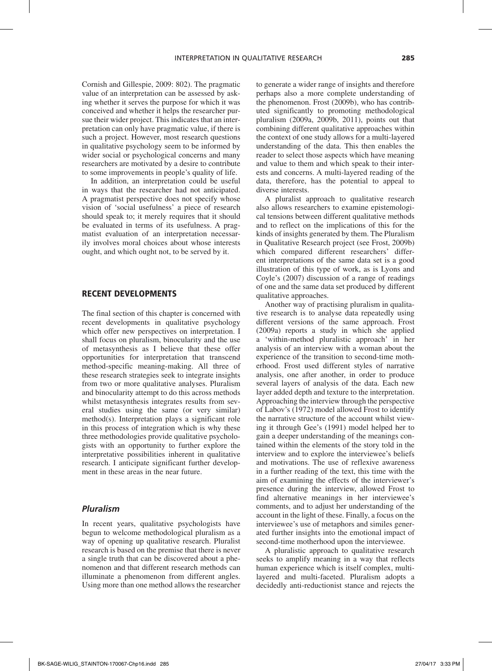Cornish and Gillespie, 2009: 802). The pragmatic value of an interpretation can be assessed by asking whether it serves the purpose for which it was conceived and whether it helps the researcher pursue their wider project. This indicates that an interpretation can only have pragmatic value, if there is such a project. However, most research questions in qualitative psychology seem to be informed by wider social or psychological concerns and many researchers are motivated by a desire to contribute to some improvements in people's quality of life.

In addition, an interpretation could be useful in ways that the researcher had not anticipated. A pragmatist perspective does not specify whose vision of 'social usefulness' a piece of research should speak to; it merely requires that it should be evaluated in terms of its usefulness. A pragmatist evaluation of an interpretation necessarily involves moral choices about whose interests ought, and which ought not, to be served by it.

#### Recent Developments

The final section of this chapter is concerned with recent developments in qualitative psychology which offer new perspectives on interpretation. I shall focus on pluralism, binocularity and the use of metasynthesis as I believe that these offer opportunities for interpretation that transcend method-specific meaning-making. All three of these research strategies seek to integrate insights from two or more qualitative analyses. Pluralism and binocularity attempt to do this across methods whilst metasynthesis integrates results from several studies using the same (or very similar) method(s). Interpretation plays a significant role in this process of integration which is why these three methodologies provide qualitative psychologists with an opportunity to further explore the interpretative possibilities inherent in qualitative research. I anticipate significant further development in these areas in the near future.

### *Pluralism*

In recent years, qualitative psychologists have begun to welcome methodological pluralism as a way of opening up qualitative research. Pluralist research is based on the premise that there is never a single truth that can be discovered about a phenomenon and that different research methods can illuminate a phenomenon from different angles. Using more than one method allows the researcher to generate a wider range of insights and therefore perhaps also a more complete understanding of the phenomenon. Frost (2009b), who has contributed significantly to promoting methodological pluralism (2009a, 2009b, 2011), points out that combining different qualitative approaches within the context of one study allows for a multi-layered understanding of the data. This then enables the reader to select those aspects which have meaning and value to them and which speak to their interests and concerns. A multi-layered reading of the data, therefore, has the potential to appeal to diverse interests.

A pluralist approach to qualitative research also allows researchers to examine epistemological tensions between different qualitative methods and to reflect on the implications of this for the kinds of insights generated by them. The Pluralism in Qualitative Research project (see Frost, 2009b) which compared different researchers' different interpretations of the same data set is a good illustration of this type of work, as is Lyons and Coyle's (2007) discussion of a range of readings of one and the same data set produced by different qualitative approaches.

Another way of practising pluralism in qualitative research is to analyse data repeatedly using different versions of the same approach. Frost (2009a) reports a study in which she applied a 'within-method pluralistic approach' in her analysis of an interview with a woman about the experience of the transition to second-time motherhood. Frost used different styles of narrative analysis, one after another, in order to produce several layers of analysis of the data. Each new layer added depth and texture to the interpretation. Approaching the interview through the perspective of Labov's (1972) model allowed Frost to identify the narrative structure of the account whilst viewing it through Gee's (1991) model helped her to gain a deeper understanding of the meanings contained within the elements of the story told in the interview and to explore the interviewee's beliefs and motivations. The use of reflexive awareness in a further reading of the text, this time with the aim of examining the effects of the interviewer's presence during the interview, allowed Frost to find alternative meanings in her interviewee's comments, and to adjust her understanding of the account in the light of these. Finally, a focus on the interviewee's use of metaphors and similes generated further insights into the emotional impact of second-time motherhood upon the interviewee.

A pluralistic approach to qualitative research seeks to amplify meaning in a way that reflects human experience which is itself complex, multilayered and multi-faceted. Pluralism adopts a decidedly anti-reductionist stance and rejects the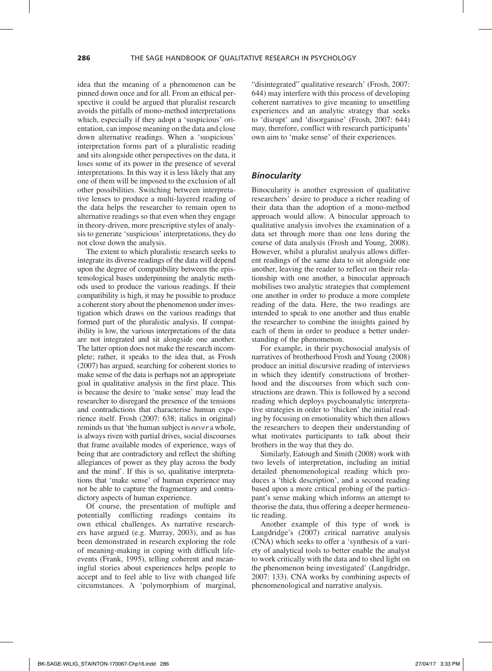idea that the meaning of a phenomenon can be pinned down once and for all. From an ethical perspective it could be argued that pluralist research avoids the pitfalls of mono-method interpretations which, especially if they adopt a 'suspicious' orientation, can impose meaning on the data and close down alternative readings. When a 'suspicious' interpretation forms part of a pluralistic reading and sits alongside other perspectives on the data, it loses some of its power in the presence of several interpretations. In this way it is less likely that any one of them will be imposed to the exclusion of all other possibilities. Switching between interpretative lenses to produce a multi-layered reading of the data helps the researcher to remain open to alternative readings so that even when they engage in theory-driven, more prescriptive styles of analysis to generate 'suspicious' interpretations, they do not close down the analysis.

The extent to which pluralistic research seeks to integrate its diverse readings of the data will depend upon the degree of compatibility between the epistemological bases underpinning the analytic methods used to produce the various readings. If their compatibility is high, it may be possible to produce a coherent story about the phenomenon under investigation which draws on the various readings that formed part of the pluralistic analysis. If compatibility is low, the various interpretations of the data are not integrated and sit alongside one another. The latter option does not make the research incomplete; rather, it speaks to the idea that, as Frosh (2007) has argued, searching for coherent stories to make sense of the data is perhaps not an appropriate goal in qualitative analysis in the first place. This is because the desire to 'make sense' may lead the researcher to disregard the presence of the tensions and contradictions that characterise human experience itself. Frosh (2007: 638; italics in original) reminds us that 'the human subject is *never* a whole, is always riven with partial drives, social discourses that frame available modes of experience, ways of being that are contradictory and reflect the shifting allegiances of power as they play across the body and the mind'. If this is so, qualitative interpretations that 'make sense' of human experience may not be able to capture the fragmentary and contradictory aspects of human experience.

Of course, the presentation of multiple and potentially conflicting readings contains its own ethical challenges. As narrative researchers have argued (e.g. Murray, 2003), and as has been demonstrated in research exploring the role of meaning-making in coping with difficult lifeevents (Frank, 1995), telling coherent and meaningful stories about experiences helps people to accept and to feel able to live with changed life circumstances. A 'polymorphism of marginal,

"disintegrated" qualitative research' (Frosh, 2007: 644) may interfere with this process of developing coherent narratives to give meaning to unsettling experiences and an analytic strategy that seeks to 'disrupt' and 'disorganise' (Frosh, 2007: 644) may, therefore, conflict with research participants' own aim to 'make sense' of their experiences.

#### *Binocularity*

Binocularity is another expression of qualitative researchers' desire to produce a richer reading of their data than the adoption of a mono-method approach would allow. A binocular approach to qualitative analysis involves the examination of a data set through more than one lens during the course of data analysis (Frosh and Young, 2008). However, whilst a pluralist analysis allows different readings of the same data to sit alongside one another, leaving the reader to reflect on their relationship with one another, a binocular approach mobilises two analytic strategies that complement one another in order to produce a more complete reading of the data. Here, the two readings are intended to speak to one another and thus enable the researcher to combine the insights gained by each of them in order to produce a better understanding of the phenomenon.

For example, in their psychosocial analysis of narratives of brotherhood Frosh and Young (2008) produce an initial discursive reading of interviews in which they identify constructions of brotherhood and the discourses from which such constructions are drawn. This is followed by a second reading which deploys psychoanalytic interpretative strategies in order to 'thicken' the initial reading by focusing on emotionality which then allows the researchers to deepen their understanding of what motivates participants to talk about their brothers in the way that they do.

Similarly, Eatough and Smith (2008) work with two levels of interpretation, including an initial detailed phenomenological reading which produces a 'thick description', and a second reading based upon a more critical probing of the participant's sense making which informs an attempt to theorise the data, thus offering a deeper hermeneutic reading.

Another example of this type of work is Langdridge's (2007) critical narrative analysis (CNA) which seeks to offer a 'synthesis of a variety of analytical tools to better enable the analyst to work critically with the data and to shed light on the phenomenon being investigated' (Langdridge, 2007: 133). CNA works by combining aspects of phenomenological and narrative analysis.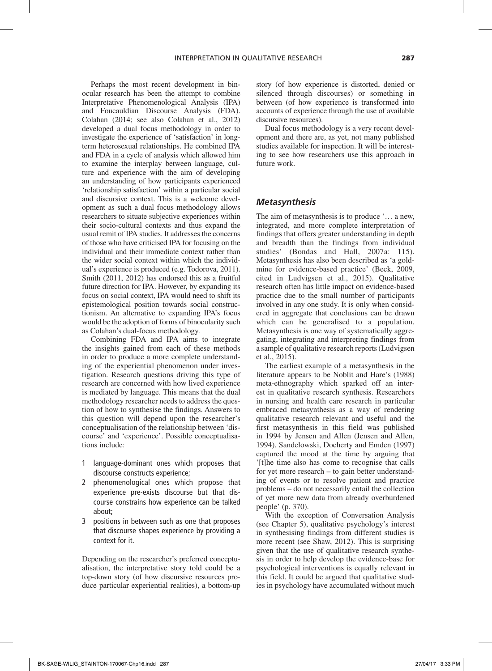Perhaps the most recent development in binocular research has been the attempt to combine Interpretative Phenomenological Analysis (IPA) and Foucauldian Discourse Analysis (FDA). Colahan (2014; see also Colahan et al., 2012) developed a dual focus methodology in order to investigate the experience of 'satisfaction' in longterm heterosexual relationships. He combined IPA and FDA in a cycle of analysis which allowed him to examine the interplay between language, culture and experience with the aim of developing an understanding of how participants experienced 'relationship satisfaction' within a particular social and discursive context. This is a welcome development as such a dual focus methodology allows researchers to situate subjective experiences within their socio-cultural contexts and thus expand the usual remit of IPA studies. It addresses the concerns of those who have criticised IPA for focusing on the individual and their immediate context rather than the wider social context within which the individual's experience is produced (e.g. Todorova, 2011). Smith (2011, 2012) has endorsed this as a fruitful future direction for IPA. However, by expanding its focus on social context, IPA would need to shift its epistemological position towards social constructionism. An alternative to expanding IPA's focus would be the adoption of forms of binocularity such as Colahan's dual-focus methodology.

Combining FDA and IPA aims to integrate the insights gained from each of these methods in order to produce a more complete understanding of the experiential phenomenon under investigation. Research questions driving this type of research are concerned with how lived experience is mediated by language. This means that the dual methodology researcher needs to address the question of how to synthesise the findings. Answers to this question will depend upon the researcher's conceptualisation of the relationship between 'discourse' and 'experience'. Possible conceptualisations include:

- 1 language-dominant ones which proposes that discourse constructs experience;
- 2 phenomenological ones which propose that experience pre-exists discourse but that discourse constrains how experience can be talked about;
- 3 positions in between such as one that proposes that discourse shapes experience by providing a context for it.

Depending on the researcher's preferred conceptualisation, the interpretative story told could be a top-down story (of how discursive resources produce particular experiential realities), a bottom-up story (of how experience is distorted, denied or silenced through discourses) or something in between (of how experience is transformed into accounts of experience through the use of available discursive resources).

Dual focus methodology is a very recent development and there are, as yet, not many published studies available for inspection. It will be interesting to see how researchers use this approach in future work.

#### *Metasynthesis*

The aim of metasynthesis is to produce '… a new, integrated, and more complete interpretation of findings that offers greater understanding in depth and breadth than the findings from individual studies' (Bondas and Hall, 2007a: 115). Metasynthesis has also been described as 'a goldmine for evidence-based practice' (Beck, 2009, cited in Ludvigsen et al., 2015). Qualitative research often has little impact on evidence-based practice due to the small number of participants involved in any one study. It is only when considered in aggregate that conclusions can be drawn which can be generalised to a population. Metasynthesis is one way of systematically aggregating, integrating and interpreting findings from a sample of qualitative research reports (Ludvigsen et al., 2015).

The earliest example of a metasynthesis in the literature appears to be Noblit and Hare's (1988) meta-ethnography which sparked off an interest in qualitative research synthesis. Researchers in nursing and health care research in particular embraced metasynthesis as a way of rendering qualitative research relevant and useful and the first metasynthesis in this field was published in 1994 by Jensen and Allen (Jensen and Allen, 1994). Sandelowski, Docherty and Emden (1997) captured the mood at the time by arguing that '[t]he time also has come to recognise that calls for yet more research – to gain better understanding of events or to resolve patient and practice problems – do not necessarily entail the collection of yet more new data from already overburdened people' (p. 370).

With the exception of Conversation Analysis (see Chapter 5), qualitative psychology's interest in synthesising findings from different studies is more recent (see Shaw, 2012). This is surprising given that the use of qualitative research synthesis in order to help develop the evidence-base for psychological interventions is equally relevant in this field. It could be argued that qualitative studies in psychology have accumulated without much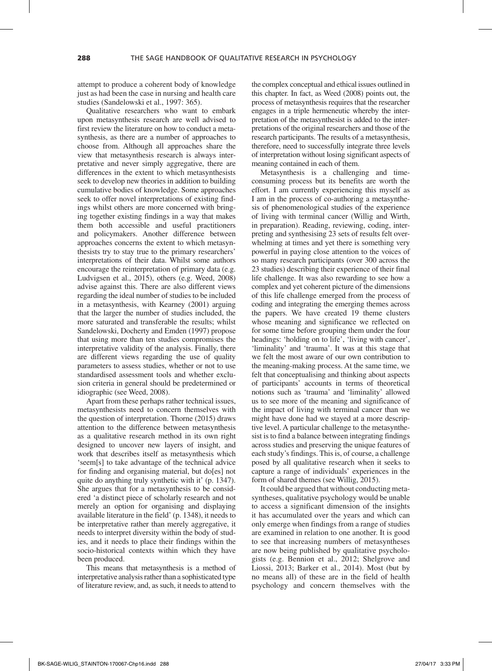attempt to produce a coherent body of knowledge just as had been the case in nursing and health care studies (Sandelowski et al., 1997: 365).

Qualitative researchers who want to embark upon metasynthesis research are well advised to first review the literature on how to conduct a metasynthesis, as there are a number of approaches to choose from. Although all approaches share the view that metasynthesis research is always interpretative and never simply aggregative, there are differences in the extent to which metasynthesists seek to develop new theories in addition to building cumulative bodies of knowledge. Some approaches seek to offer novel interpretations of existing findings whilst others are more concerned with bringing together existing findings in a way that makes them both accessible and useful practitioners and policymakers. Another difference between approaches concerns the extent to which metasynthesists try to stay true to the primary researchers' interpretations of their data. Whilst some authors encourage the reinterpretation of primary data (e.g. Ludvigsen et al., 2015), others (e.g. Weed, 2008) advise against this. There are also different views regarding the ideal number of studies to be included in a metasynthesis, with Kearney (2001) arguing that the larger the number of studies included, the more saturated and transferable the results; whilst Sandelowski, Docherty and Emden (1997) propose that using more than ten studies compromises the interpretative validity of the analysis. Finally, there are different views regarding the use of quality parameters to assess studies, whether or not to use standardised assessment tools and whether exclusion criteria in general should be predetermined or idiographic (see Weed, 2008).

Apart from these perhaps rather technical issues, metasynthesists need to concern themselves with the question of interpretation. Thorne (2015) draws attention to the difference between metasynthesis as a qualitative research method in its own right designed to uncover new layers of insight, and work that describes itself as metasynthesis which 'seem[s] to take advantage of the technical advice for finding and organising material, but do[es] not quite do anything truly synthetic with it' (p. 1347). She argues that for a metasynthesis to be considered 'a distinct piece of scholarly research and not merely an option for organising and displaying available literature in the field' (p. 1348), it needs to be interpretative rather than merely aggregative, it needs to interpret diversity within the body of studies, and it needs to place their findings within the socio-historical contexts within which they have been produced.

This means that metasynthesis is a method of interpretative analysis rather than a sophisticated type of literature review, and, as such, it needs to attend to

the complex conceptual and ethical issues outlined in this chapter. In fact, as Weed (2008) points out, the process of metasynthesis requires that the researcher engages in a triple hermeneutic whereby the interpretation of the metasynthesist is added to the interpretations of the original researchers and those of the research participants. The results of a metasynthesis, therefore, need to successfully integrate three levels of interpretation without losing significant aspects of meaning contained in each of them.

Metasynthesis is a challenging and timeconsuming process but its benefits are worth the effort. I am currently experiencing this myself as I am in the process of co-authoring a metasynthesis of phenomenological studies of the experience of living with terminal cancer (Willig and Wirth, in preparation). Reading, reviewing, coding, interpreting and synthesising 23 sets of results felt overwhelming at times and yet there is something very powerful in paying close attention to the voices of so many research participants (over 300 across the 23 studies) describing their experience of their final life challenge. It was also rewarding to see how a complex and yet coherent picture of the dimensions of this life challenge emerged from the process of coding and integrating the emerging themes across the papers. We have created 19 theme clusters whose meaning and significance we reflected on for some time before grouping them under the four headings: 'holding on to life', 'living with cancer', 'liminality' and 'trauma'. It was at this stage that we felt the most aware of our own contribution to the meaning-making process. At the same time, we felt that conceptualising and thinking about aspects of participants' accounts in terms of theoretical notions such as 'trauma' and 'liminality' allowed us to see more of the meaning and significance of the impact of living with terminal cancer than we might have done had we stayed at a more descriptive level. A particular challenge to the metasynthesist is to find a balance between integrating findings across studies and preserving the unique features of each study's findings. This is, of course, a challenge posed by all qualitative research when it seeks to capture a range of individuals' experiences in the form of shared themes (see Willig, 2015).

It could be argued that without conducting metasyntheses, qualitative psychology would be unable to access a significant dimension of the insights it has accumulated over the years and which can only emerge when findings from a range of studies are examined in relation to one another. It is good to see that increasing numbers of metasyntheses are now being published by qualitative psychologists (e.g. Bennion et al., 2012; Shelgrove and Liossi, 2013; Barker et al., 2014). Most (but by no means all) of these are in the field of health psychology and concern themselves with the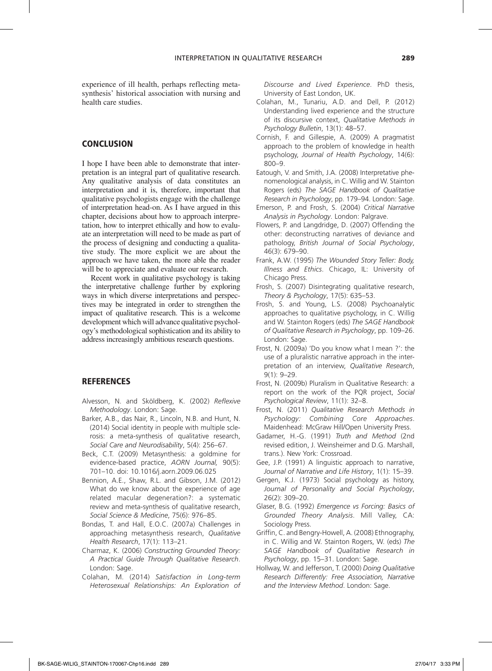experience of ill health, perhaps reflecting metasynthesis' historical association with nursing and health care studies.

# **CONCLUSION**

I hope I have been able to demonstrate that interpretation is an integral part of qualitative research. Any qualitative analysis of data constitutes an interpretation and it is, therefore, important that qualitative psychologists engage with the challenge of interpretation head-on. As I have argued in this chapter, decisions about how to approach interpretation, how to interpret ethically and how to evaluate an interpretation will need to be made as part of the process of designing and conducting a qualitative study. The more explicit we are about the approach we have taken, the more able the reader will be to appreciate and evaluate our research.

Recent work in qualitative psychology is taking the interpretative challenge further by exploring ways in which diverse interpretations and perspectives may be integrated in order to strengthen the impact of qualitative research. This is a welcome development which will advance qualitative psychology's methodological sophistication and its ability to address increasingly ambitious research questions.

# **REFERENCES**

- Alvesson, N. and Sköldberg, K. (2002) *Reflexive Methodology*. London: Sage.
- Barker, A.B., das Nair, R., Lincoln, N.B. and Hunt, N. (2014) Social identity in people with multiple sclerosis: a meta-synthesis of qualitative research, *Social Care and Neurodisability*, 5(4): 256–67.
- Beck, C.T. (2009) Metasynthesis: a goldmine for evidence-based practice, *AORN Journal,* 90(5): 701–10. doi: 10.1016/j.aorn.2009.06.025
- Bennion, A.E., Shaw, R.L. and Gibson, J.M. (2012) What do we know about the experience of age related macular degeneration?: a systematic review and meta-synthesis of qualitative research, *Social Science & Medicine*, 75(6): 976–85.
- Bondas, T. and Hall, E.O.C. (2007a) Challenges in approaching metasynthesis research, *Qualitative Health Research*, 17(1): 113–21.
- Charmaz, K. (2006) *Constructing Grounded Theory: A Practical Guide Through Qualitative Research*. London: Sage.
- Colahan, M. (2014) *Satisfaction in Long-term Heterosexual Relationships: An Exploration of*

*Discourse and Lived Experience*. PhD thesis, University of East London, UK.

- Colahan, M., Tunariu, A.D. and Dell, P. (2012) Understanding lived experience and the structure of its discursive context, *Qualitative Methods in Psychology Bulletin*, 13(1): 48–57.
- Cornish, F. and Gillespie, A. (2009) A pragmatist approach to the problem of knowledge in health psychology, *Journal of Health Psychology*, 14(6): 800–9.
- Eatough, V. and Smith, J.A. (2008) Interpretative phenomenological analysis, in C. Willig and W. Stainton Rogers (eds) *The SAGE Handbook of Qualitative Research in Psychology*, pp. 179–94. London: Sage.
- Emerson, P. and Frosh, S. (2004) *Critical Narrative Analysis in Psychology*. London: Palgrave.
- Flowers, P. and Langdridge, D. (2007) Offending the other: deconstructing narratives of deviance and pathology, *British Journal of Social Psychology*, 46(3): 679–90.
- Frank, A.W. (1995) *The Wounded Story Teller: Body, Illness and Ethics*. Chicago, IL: University of Chicago Press.
- Frosh, S. (2007) Disintegrating qualitative research, *Theory & Psychology*, 17(5): 635–53.
- Frosh, S. and Young, L.S. (2008) Psychoanalytic approaches to qualitative psychology, in C. Willig and W. Stainton Rogers (eds) *The SAGE Handbook of Qualitative Research in Psychology*, pp. 109–26. London: Sage.
- Frost, N. (2009a) 'Do you know what I mean ?': the use of a pluralistic narrative approach in the interpretation of an interview, *Qualitative Research*, 9(1): 9–29.
- Frost, N. (2009b) Pluralism in Qualitative Research: a report on the work of the PQR project, *Social Psychological Review*, 11(1): 32–8.
- Frost, N. (2011) *Qualitative Research Methods in Psychology: Combining Core Approaches*. Maidenhead: McGraw Hill/Open University Press.
- Gadamer, H.-G. (1991) *Truth and Method* (2nd revised edition, J. Weinsheimer and D.G. Marshall, trans.). New York: Crossroad.
- Gee, J.P. (1991) A linguistic approach to narrative, *Journal of Narrative and Life History*, 1(1): 15–39.
- Gergen, K.J. (1973) Social psychology as history, *Journal of Personality and Social Psychology*, 26(2): 309–20.
- Glaser, B.G. (1992) *Emergence vs Forcing: Basics of Grounded Theory Analysis*. Mill Valley, CA: Sociology Press.
- Griffin, C. and Bengry-Howell, A. (2008) Ethnography, in C. Willig and W. Stainton Rogers, W. (eds) *The SAGE Handbook of Qualitative Research in Psychology*, pp. 15–31. London: Sage.
- Hollway, W. and Jefferson, T. (2000) *Doing Qualitative Research Differently: Free Association, Narrative and the Interview Method*. London: Sage.